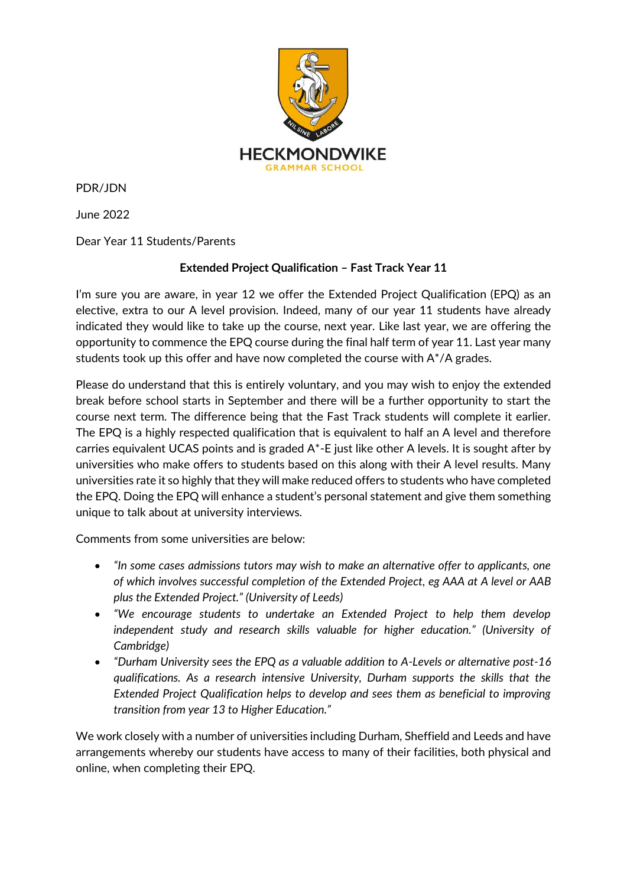

PDR/JDN

June 2022

Dear Year 11 Students/Parents

## **Extended Project Qualification – Fast Track Year 11**

I'm sure you are aware, in year 12 we offer the Extended Project Qualification (EPQ) as an elective, extra to our A level provision. Indeed, many of our year 11 students have already indicated they would like to take up the course, next year. Like last year, we are offering the opportunity to commence the EPQ course during the final half term of year 11. Last year many students took up this offer and have now completed the course with A\*/A grades.

Please do understand that this is entirely voluntary, and you may wish to enjoy the extended break before school starts in September and there will be a further opportunity to start the course next term. The difference being that the Fast Track students will complete it earlier. The EPQ is a highly respected qualification that is equivalent to half an A level and therefore carries equivalent UCAS points and is graded A\*-E just like other A levels. It is sought after by universities who make offers to students based on this along with their A level results. Many universities rate it so highly that they will make reduced offers to students who have completed the EPQ. Doing the EPQ will enhance a student's personal statement and give them something unique to talk about at university interviews.

Comments from some universities are below:

- *"In some cases admissions tutors may wish to make an alternative offer to applicants, one of which involves successful completion of the Extended Project, eg AAA at A level or AAB plus the Extended Project." (University of Leeds)*
- *"We encourage students to undertake an Extended Project to help them develop independent study and research skills valuable for higher education." (University of Cambridge)*
- *"Durham University sees the EPQ as a valuable addition to A-Levels or alternative post-16 qualifications. As a research intensive University, Durham supports the skills that the Extended Project Qualification helps to develop and sees them as beneficial to improving transition from year 13 to Higher Education."*

We work closely with a number of universities including Durham, Sheffield and Leeds and have arrangements whereby our students have access to many of their facilities, both physical and online, when completing their EPQ.